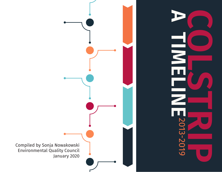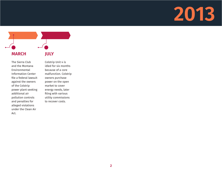

The Sierra Club and the Montana Environmental Information Center file a federal lawsuit against the owners of the Colstrip power plant seeking additional air pollution controls and penalties for alleged violations under the Clean Air Act.

Colstrip Unit 4 is idled for six months because of a core malfunction. Colstrip owners purchase power on the open market to cover energy needs, later filing with various utility commissions to recover costs.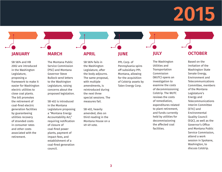**JANUARY**

SB 5874 and HB 2002 are introduced in the Washington Legislature, proposing a framework to make it easier for Washington electric utilities to close coal plants. The bill promotes the retirement of coal-fired electric generation facilities by guaranteeing utilities recovery of stranded costs in consumer rates and other costs associated with the retirement.

#### **MARCH**

The Montana Public Service Commission (PSC) and Montana Governor Steve Bullock send letters to the Washington Legislature, raising concerns about the proposed legislation.

SB 402 is introduced in the Montana Legislature proposing a "Montana Energy Accountability Act," requiring notification of closure of coal-fired power plants, payment of impact fees, and establishment of a coal-fired generation council.

#### **APRIL**

SB 5874 fails in the Washington Legislature, after the body adjourns. The same proposal, with multiple amendments, is reintroduced during the next three special sessions. The measures fail.

SB 402, heavily amended, dies on third reading in the Montana House on a 49-49 vote.

#### **JUNE**

PPL Corp. of Pennsylvania spins off subsidiary PPL Montana, allowing for the acquisition of Colstrip assets by Talen Energy Corp.

#### **JULY**

The Washington Utilities and **Transportation** Commission (WUTC) opens an investigation to examine the costs of decommissioning Colstrip. The WUTC reviews the costs of remediation, expenditures related to plant retirement, and funds currently held by utilities for decommissioning the affected coal facilities.

#### **OCTOBER**

Based on the invitation of the Washington State Senate Energy, Environment and Telecommunications Committee, members of the Montana Legislature's Energy and Telecommunications Interim Committee (ETIC) and Environmental Quality Council (EQC), as well as the Governor's Office and Montana Public Service Commission, attend a work session in Spokane, Washington, to discuss Colstrip.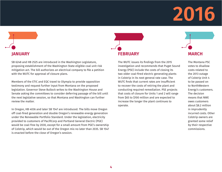# **JANUARY**

SB 6248 and HB 2525 are introduced in the Washington Legislature, proposing establishment of the Washington State eligible coal unit risk mitigation act. The bill authorizes an electrical company to file a petition with the WUTC for approval of closure plans.

Members of the ETIC and EQC travel to Olympia to provide opposition testimony and request further input from Montana on the proposed legislation. Governor Steve Bullock writes to the Washington House and Senate asking the committees to consider deferring passage of the bill until the next legislative session, so that Montana and Washington can further review the matter.

In Oregon, HB 4036 and later SB 1547 are introduced. The bills move Oregon off coal-fired generation and double Oregon's renewable energy generation under the Renewable Portfolio Standard. Under the legislation, electricity provided to customers of PacifiCorp and Portland General Electric (PGE) would be coal-free by 2030, except for a small amount from PGE's ownership of Colstrip, which would be out of the Oregon mix no later than 2035. SB 1547 is enacted before the close of Oregon's session.



The WUTC issues its findings from the 2015 investigation and recommends that Puget Sound Energy (PSE) include the costs of closing its two older coal-fired electric generating plants in Colstrip in its next general rate case. The WUTC finds that current rates are insufficient to recover the costs of retiring the plant and conducting required remediation. PSE projects that costs of closure for Units 1 and 2 will range from \$65 to \$100 million and are expected to increase the longer the plant continues to operate.



The Montana PSC votes to disallow costs related to the 2013 outage of Colstrip Unit 4 to be passed on to NorthWestern Energy's customers. The decision means that NWE owes customers about \$8.2 million in imprudently incurred costs. Other Colstrip owners are granted some relief by their respective commissions.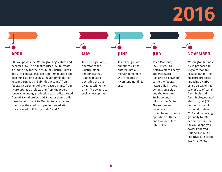### **APRIL**

SB 6248 passes the Washington Legislature and becomes law. The bill authorizes PSE to create a fund to pay for the closure of Colstrip Units 1 and 2. In general, PSE can fund remediation and decommissioning using a regulatory liabilities account. PSE has a "liabilities account" from federal Department of the Treasury grants from hydro upgrade projects and from the federal renewable energy production tax credits earned from PSE wind projects. PSE, rather than credit these benefits back to Washington customers, would use the credits to pay for remediation costs related to Colstrip Units 1 and 2.

### **MAY**

Talen Energy Corp., operator of the Colstrip plant, announces that it plans to stop operating the plant by 2018, telling the other five owners to seek a new operator.

#### **JUNE**

Talen Energy Corp. announces it has entered into a merger agreement with affiliates of Riverstone Holdings LLC.

#### **JULY**

Talen Montana, PSE, Avista, PGE, NorthWestern Energy, and PacifiCorp (Colstrip's six owners) settle the federal lawsuit filed in 2013 by the Sierra Club and the Montana Environmental Information Center. The settlement includes a commitment to cease operation of Units 1 and 2 on or before July 1, 2022.

#### **NOVEMBER**

Washington Initiative 732 is proposed to levy a carbon tax in Washington. The measure proposes imposing a carbon emission tax on the sale or use of certain fossil fuels and fossil fuel-generated electricity, at \$15 per metric ton of carbon dioxide in 2017, and increasing gradually to \$100 per metric ton. The tax would apply to power imported from Colstrip. The initiative is rejected 59.3% to 40.7%.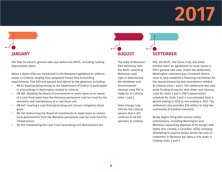# **JANUARY**

PSE files its electric general rate case before the WUTC, including Colstrip depreciation plans.

About a dozen bills are introduced in the Montana Legislature to address issues in Colstrip, ranging from proposed impact fees to bonding requirements. Five bills are passed and signed by the governor, including:

- HB 22: Appropriating money to the Department of Justice to participate in proceedings in Washington related to Colstrip.
- HB 585: Allowing the Board of Investments to make loans to an owner of a coal-fired plant from the Montana permanent coal tax trust for the operation and maintenance of a coal-fired unit.
- HB 647: Creating a coal-fired generating unit closure mitigation block grant.
- SB 140: Authorizing the Board of Investments to make loans to certain local governments from the Montana permanent coal tax trust fund for infrastructure.
- SB 339: Establishing the Coal-Fired Generating Unit Remediation Act.

### **AUGUST SEPTEMBER**

The state of Montana files testimony with the WUTC, asserting Montana's sole right in determining the shutdown and environmental cleanup costs PSE is liable for at Colstrip Units 1 and 2.

Talen Energy Corp. informs the Colstrip owners that it will continue to be the operator at Colstrip.

PSE, the WUTC, the Sierra Club, and other entities reach an agreement on most issues in PSE's general rate case. Under the settlement, Washington customers pay increased electric rates to help establish a financing mechanism for the decommissioning and remediation needed at Colstrip Units 1 and 2. The settlement also sets aside funding to pay for shut-down and cleanup costs for Units 3 and 4. PSE's depreciation schedule for Units 3 and 4 is accelerated from a period ending in 2045 to one ending in 2027. The settlement also provides \$10 million to help the community of Colstrip transition.

Avista begins filing with various utility commissions, including Washington and Montana, requesting approval of its merger with Hydro One Limited, a Canadian utility company, attempting to acquire Avista. Avista has only 32 customers in Montana but owns a 15% stake in Colstrip Units 3 and 4.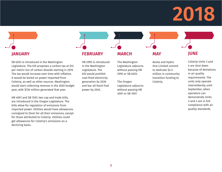### **JANUARY**

SB 6203 is introduced in the Washington Legislature. The bill proposes a carbon tax at \$12 per metric ton of carbon dioxide starting in 2019. The tax would increase over time with inflation. It would be levied on power imported from Colstrip, as well as other sources. Washington would start collecting revenue in the 2020 budget year, with \$726 million generated that year.

HB 4001 and SB 1507, two cap and trade bills, are introduced in the Oregon Legislature. The bills allow for regulation of emissions from imported power. Utilities would have allowances consigned to them for all their emissions, except for those attributed to Colstrip. Utilities could get allowances for Colstrip's emissions on a declining basis.

#### **FEBRUARY**

HB 2995 is introduced in the Washington Legislature. The bill would prohibit coal-fired electricity generation by 2030 and bar all fossil fuel power by 2045.

#### **MARCH**

The Washington Legislature adjourns without passing HB 2995 or SB 6203.

The Oregon Legislature adjourns without passing HB 4001 or SB 1507.

#### Avista and Hydro One Limited commit to dedicate \$4.5 million in community transition funding to Colstrip.

**MAY**

#### **JUNE**

Colstrip Units 3 and 4 are shut down because of deviations in air quality requirements. The units only operate intermittently until September, when operators can demonstrate Units 3 and 4 are in full compliance with air quality standards.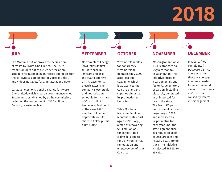# **JULY**

The Montana PSC approves the acquisition of Avista by Hydro One Limited. The PSC's resolution opts out of a 2027 depreciation schedule for ratemaking purposes and notes that the co-owners' agreement for Colstrip Units 3 and 4 does not allow for a unilateral end date.

Canadian elections signal a change for Hydro One Limited, which is partly government-owned. Settlements established by utility commission, including the commitment of \$4.5 million to Colstrip, remain unclear.

#### **SEPTEMBER**

Northwestern Energy (NWE) files its first full rate case in 10 years and asks the PSC to approve an increase for its electric rates. The company's ownership and depreciation schedule for its share of Colstrip Unit 4 becomes a flashpoint in the case. NWE maintains it will not depreciate out its share in Colstrip Unit 4 until 2042.

#### **OCTOBER**

Westmoreland files for bankruptcy. Westmoreland operates the 25,000 acre Rosebud coal mine, which is adjacent to the Colstrip plant and supplies almost all its production to Units 1-4.

Talen Montana files complaints in Montana state court against PPL Corp., aimed at recovering \$733 million of funds that Talen claims it is due to fund environmental remediation and employee benefits at Colstrip.

#### **NOVEMBER**

Washington Initiative 1631 is proposed to levy a carbon tax in Washington. The initiative includes a carbon emissions fee on large emitters of carbon, including electricity generated in or imported for use in the state. The fee is \$15 per metric ton of carbon beginning in 2020, and increases by \$2 per metric ton each year until the state's greenhouse gas reduction goals of 2035 are met and its 2050 goals are on track. The initiative is rejected 56.56% to 43.44%.

#### **DECEMBER**

PPL Corp. files complaints in Delaware District Court asserting that any shortage in money needed for environmental cleanup or pensions at Colstrip is caused by Talen's mismanagement.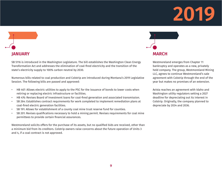# **JANUARY**

SB 5116 is introduced in the Washington Legislature. The bill establishes the Washington Clean Energy Transformation Act and addresses the elimination of coal-fired electricity and the transition of the state's electricity supply to 100% carbon neutral by 2030.

Numerous bills related to coal production and Colstrip are introduced during Montana's 2019 Legislative Session. The following bills are passed and approved:

- HB 467: Allows electric utilities to apply to the PSC for the issuance of bonds to lower costs when retiring or replacing electric infrastructure or facilities.
- HB 476: Revises Board of Investment loans for coal-fired generation and associated transmission.
- SB 264: Establishes contract requirements for work completed to implement remediation plans at coal-fired electric generation facilities.
- SB 191: Allows for establishment of a county coal mine trust reserve fund for counties.
- SB 201: Revises qualifications necessary to hold a mining permit. Revises requirements for coal mine permittees to provide certain financial assurances.

Westmoreland solicits offers for the purchase of its assets, but no qualified bids are received, other than a minimum bid from its creditors. Colstrip owners raise concerns about the future operation of Units 3 and 4, if a coal contract is not approved.



Westmoreland emerges from Chapter 11 bankruptcy and operates as a new, privately held company. The group, Westmoreland Mining LLC, agrees to continue Westmoreland's sale agreement with Colstrip through the end of the year but makes no promises of an extension.

Avista reaches an agreement with Idaho and Washington utility regulators setting a 2027 deadline for depreciating out its interest in Colstrip. Originally, the company planned to depreciate by 2034 and 2036.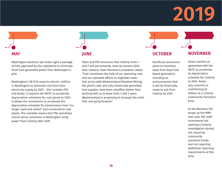# **MAY**

Washington Governor Jay Inslee signs a package of bills approved by the Legislature to eliminate fossil fuel-generated power from Washington's grid.

Washington's SB 5116 requires electric utilities in Washington to eliminate coal from their electricity supply by 2025 – this includes PSE and Avista. It requires the WUTC to accelerate depreciation schedules for coal plants to 2025. It allows the commission to accelerate the depreciation schedule for transmission lines "no longer used and useful" and connected to coal plants. The mandate means that PSE and Avista cannot serve customers in Washington using power from Colstrip after 2025.

# **JUNE**

Talen and PSE announce that Colstrip Units 1 and 2 will permanently close by January 2020. Dale Lebsack, Talen Montana's president, states "Fuel constitutes the bulk of our operating cost, and our repeated efforts to negotiate lower fuel prices with Westmoreland Rosebud Mining, the plant's sole and only historically permitted fuel supplier, have been rebuffed. Rather than working with us to keep Units 1 and 2 open, Westmoreland is proposing to increase the units' fuel cost going forward."

#### **OCTOBER**

PacifiCorp announces plans to transition away from fossil fuel based generation, including an announcement that it will be financially ready to exit from Colstrip by 2027.

#### **NOVEMBER**

Avista reaches an agreement with the WUTC to accelerate its depreciation schedule for Colstrip to 2025. Avista also commits to contributing \$3 million to a Colstrip Community Transition fund.

As the Montana PSC wraps up the NWE rate case, PSC staff recommend not opening a Colstrip investigation docket, not requiring community transition funds, and not requiring additional reporting requirements at this time.